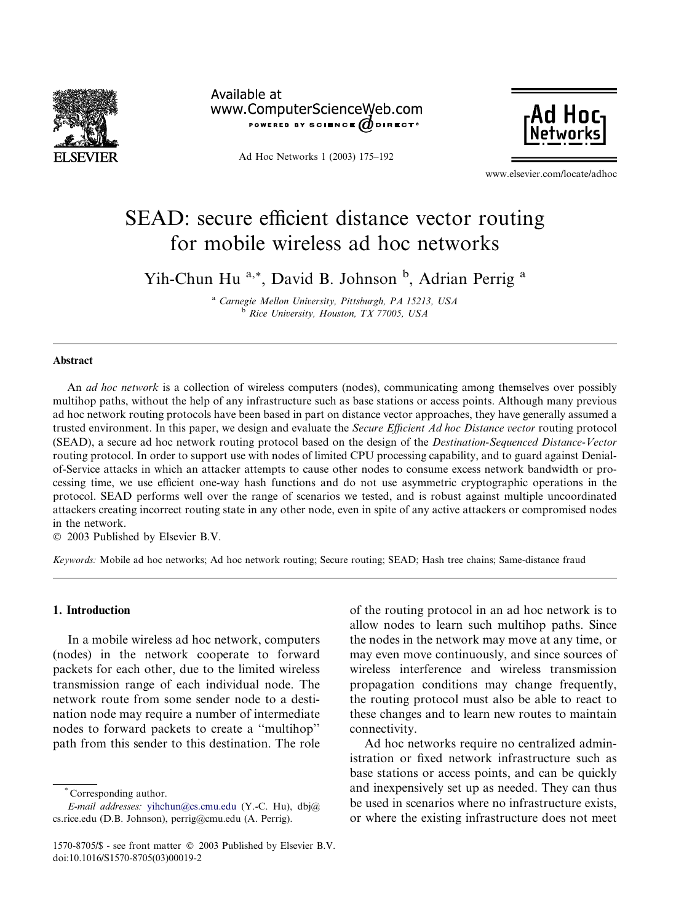

Available at www.ComputerScienceWeb.com POWERED BY SCIENCE  $\bm{\varnothing}$  direct®

Ad Hoc Networks 1 (2003) 175–192



www.elsevier.com/locate/adhoc

# SEAD: secure efficient distance vector routing for mobile wireless ad hoc networks

Yih-Chun Hu<sup>a,\*</sup>, David B. Johnson <sup>b</sup>, Adrian Perrig<sup>a</sup>

<sup>a</sup> Carnegie Mellon University, Pittsburgh, PA 15213, USA <sup>b</sup> Rice University, Houston, TX 77005, USA

#### Abstract

An *ad hoc network* is a collection of wireless computers (nodes), communicating among themselves over possibly multihop paths, without the help of any infrastructure such as base stations or access points. Although many previous ad hoc network routing protocols have been based in part on distance vector approaches, they have generally assumed a trusted environment. In this paper, we design and evaluate the Secure Efficient Ad hoc Distance vector routing protocol (SEAD), a secure ad hoc network routing protocol based on the design of the Destination-Sequenced Distance-Vector routing protocol. In order to support use with nodes of limited CPU processing capability, and to guard against Denialof-Service attacks in which an attacker attempts to cause other nodes to consume excess network bandwidth or processing time, we use efficient one-way hash functions and do not use asymmetric cryptographic operations in the protocol. SEAD performs well over the range of scenarios we tested, and is robust against multiple uncoordinated attackers creating incorrect routing state in any other node, even in spite of any active attackers or compromised nodes in the network.

2003 Published by Elsevier B.V.

Keywords: Mobile ad hoc networks; Ad hoc network routing; Secure routing; SEAD; Hash tree chains; Same-distance fraud

# 1. Introduction

In a mobile wireless ad hoc network, computers (nodes) in the network cooperate to forward packets for each other, due to the limited wireless transmission range of each individual node. The network route from some sender node to a destination node may require a number of intermediate nodes to forward packets to create a ''multihop'' path from this sender to this destination. The role of the routing protocol in an ad hoc network is to allow nodes to learn such multihop paths. Since the nodes in the network may move at any time, or may even move continuously, and since sources of wireless interference and wireless transmission propagation conditions may change frequently, the routing protocol must also be able to react to these changes and to learn new routes to maintain connectivity.

Ad hoc networks require no centralized administration or fixed network infrastructure such as base stations or access points, and can be quickly and inexpensively set up as needed. They can thus be used in scenarios where no infrastructure exists, or where the existing infrastructure does not meet

Corresponding author.

E-mail addresses: [yihchun@cs.cmu.edu](mail to: yihchun@cs.cmu.edu) (Y.-C. Hu), dbj@ cs.rice.edu (D.B. Johnson), perrig@cmu.edu (A. Perrig).

<sup>1570-8705/\$ -</sup> see front matter 2003 Published by Elsevier B.V. doi:10.1016/S1570-8705(03)00019-2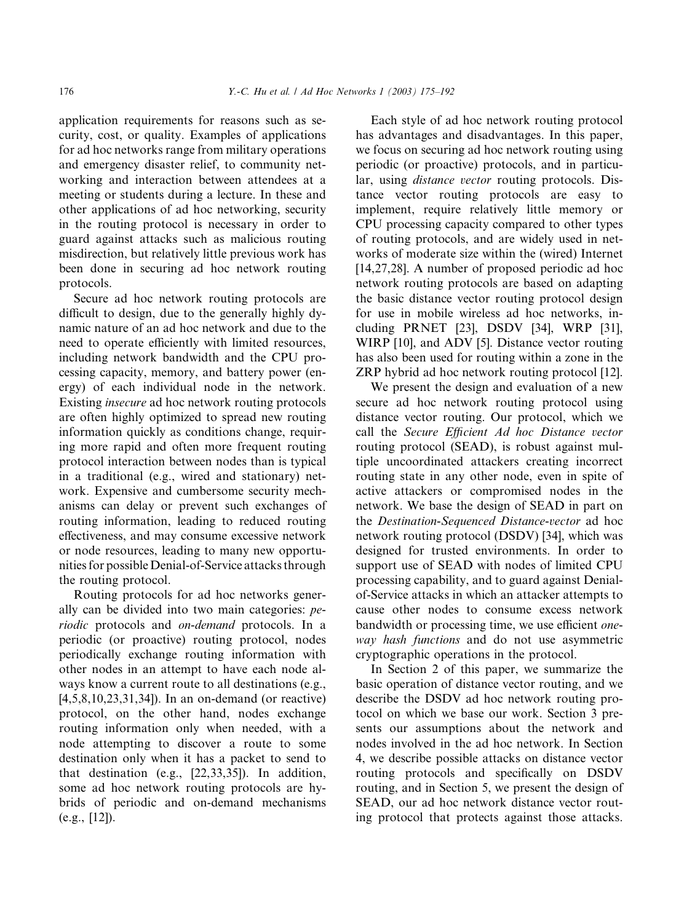application requirements for reasons such as security, cost, or quality. Examples of applications for ad hoc networks range from military operations and emergency disaster relief, to community networking and interaction between attendees at a meeting or students during a lecture. In these and other applications of ad hoc networking, security in the routing protocol is necessary in order to guard against attacks such as malicious routing misdirection, but relatively little previous work has been done in securing ad hoc network routing protocols.

Secure ad hoc network routing protocols are difficult to design, due to the generally highly dynamic nature of an ad hoc network and due to the need to operate efficiently with limited resources, including network bandwidth and the CPU processing capacity, memory, and battery power (energy) of each individual node in the network. Existing insecure ad hoc network routing protocols are often highly optimized to spread new routing information quickly as conditions change, requiring more rapid and often more frequent routing protocol interaction between nodes than is typical in a traditional (e.g., wired and stationary) network. Expensive and cumbersome security mechanisms can delay or prevent such exchanges of routing information, leading to reduced routing effectiveness, and may consume excessive network or node resources, leading to many new opportunities for possible Denial-of-Service attacks through the routing protocol.

Routing protocols for ad hoc networks generally can be divided into two main categories: periodic protocols and on-demand protocols. In a periodic (or proactive) routing protocol, nodes periodically exchange routing information with other nodes in an attempt to have each node always know a current route to all destinations (e.g., [4,5,8,10,23,31,34]). In an on-demand (or reactive) protocol, on the other hand, nodes exchange routing information only when needed, with a node attempting to discover a route to some destination only when it has a packet to send to that destination (e.g., [22,33,35]). In addition, some ad hoc network routing protocols are hybrids of periodic and on-demand mechanisms (e.g., [12]).

Each style of ad hoc network routing protocol has advantages and disadvantages. In this paper, we focus on securing ad hoc network routing using periodic (or proactive) protocols, and in particular, using distance vector routing protocols. Distance vector routing protocols are easy to implement, require relatively little memory or CPU processing capacity compared to other types of routing protocols, and are widely used in networks of moderate size within the (wired) Internet [14,27,28]. A number of proposed periodic ad hoc network routing protocols are based on adapting the basic distance vector routing protocol design for use in mobile wireless ad hoc networks, including PRNET [23], DSDV [34], WRP [31], WIRP [10], and ADV [5]. Distance vector routing has also been used for routing within a zone in the ZRP hybrid ad hoc network routing protocol [12].

We present the design and evaluation of a new secure ad hoc network routing protocol using distance vector routing. Our protocol, which we call the Secure Efficient Ad hoc Distance vector routing protocol (SEAD), is robust against multiple uncoordinated attackers creating incorrect routing state in any other node, even in spite of active attackers or compromised nodes in the network. We base the design of SEAD in part on the Destination-Sequenced Distance-vector ad hoc network routing protocol (DSDV) [34], which was designed for trusted environments. In order to support use of SEAD with nodes of limited CPU processing capability, and to guard against Denialof-Service attacks in which an attacker attempts to cause other nodes to consume excess network bandwidth or processing time, we use efficient oneway hash functions and do not use asymmetric cryptographic operations in the protocol.

In Section 2 of this paper, we summarize the basic operation of distance vector routing, and we describe the DSDV ad hoc network routing protocol on which we base our work. Section 3 presents our assumptions about the network and nodes involved in the ad hoc network. In Section 4, we describe possible attacks on distance vector routing protocols and specifically on DSDV routing, and in Section 5, we present the design of SEAD, our ad hoc network distance vector routing protocol that protects against those attacks.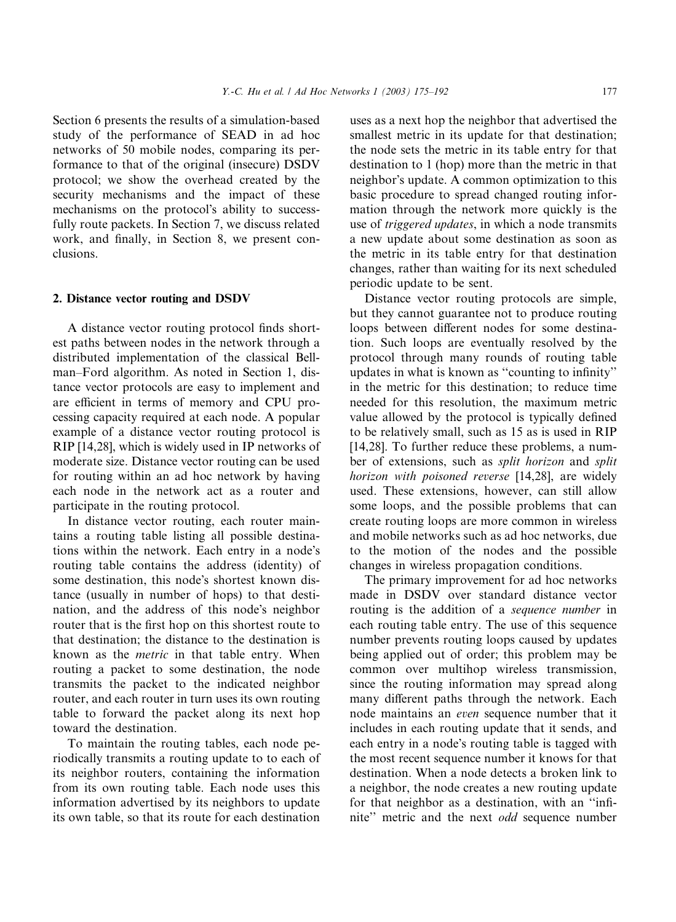Section 6 presents the results of a simulation-based study of the performance of SEAD in ad hoc networks of 50 mobile nodes, comparing its performance to that of the original (insecure) DSDV protocol; we show the overhead created by the security mechanisms and the impact of these mechanisms on the protocol's ability to successfully route packets. In Section 7, we discuss related work, and finally, in Section 8, we present conclusions.

#### 2. Distance vector routing and DSDV

A distance vector routing protocol finds shortest paths between nodes in the network through a distributed implementation of the classical Bellman–Ford algorithm. As noted in Section 1, distance vector protocols are easy to implement and are efficient in terms of memory and CPU processing capacity required at each node. A popular example of a distance vector routing protocol is RIP [14,28], which is widely used in IP networks of moderate size. Distance vector routing can be used for routing within an ad hoc network by having each node in the network act as a router and participate in the routing protocol.

In distance vector routing, each router maintains a routing table listing all possible destinations within the network. Each entry in a node's routing table contains the address (identity) of some destination, this node's shortest known distance (usually in number of hops) to that destination, and the address of this node's neighbor router that is the first hop on this shortest route to that destination; the distance to the destination is known as the metric in that table entry. When routing a packet to some destination, the node transmits the packet to the indicated neighbor router, and each router in turn uses its own routing table to forward the packet along its next hop toward the destination.

To maintain the routing tables, each node periodically transmits a routing update to to each of its neighbor routers, containing the information from its own routing table. Each node uses this information advertised by its neighbors to update its own table, so that its route for each destination

uses as a next hop the neighbor that advertised the smallest metric in its update for that destination; the node sets the metric in its table entry for that destination to 1 (hop) more than the metric in that neighbor's update. A common optimization to this basic procedure to spread changed routing information through the network more quickly is the use of *triggered updates*, in which a node transmits a new update about some destination as soon as the metric in its table entry for that destination changes, rather than waiting for its next scheduled periodic update to be sent.

Distance vector routing protocols are simple, but they cannot guarantee not to produce routing loops between different nodes for some destination. Such loops are eventually resolved by the protocol through many rounds of routing table updates in what is known as ''counting to infinity'' in the metric for this destination; to reduce time needed for this resolution, the maximum metric value allowed by the protocol is typically defined to be relatively small, such as 15 as is used in RIP [14,28]. To further reduce these problems, a number of extensions, such as split horizon and split horizon with poisoned reverse [14,28], are widely used. These extensions, however, can still allow some loops, and the possible problems that can create routing loops are more common in wireless and mobile networks such as ad hoc networks, due to the motion of the nodes and the possible changes in wireless propagation conditions.

The primary improvement for ad hoc networks made in DSDV over standard distance vector routing is the addition of a sequence number in each routing table entry. The use of this sequence number prevents routing loops caused by updates being applied out of order; this problem may be common over multihop wireless transmission, since the routing information may spread along many different paths through the network. Each node maintains an even sequence number that it includes in each routing update that it sends, and each entry in a node's routing table is tagged with the most recent sequence number it knows for that destination. When a node detects a broken link to a neighbor, the node creates a new routing update for that neighbor as a destination, with an ''infinite'' metric and the next odd sequence number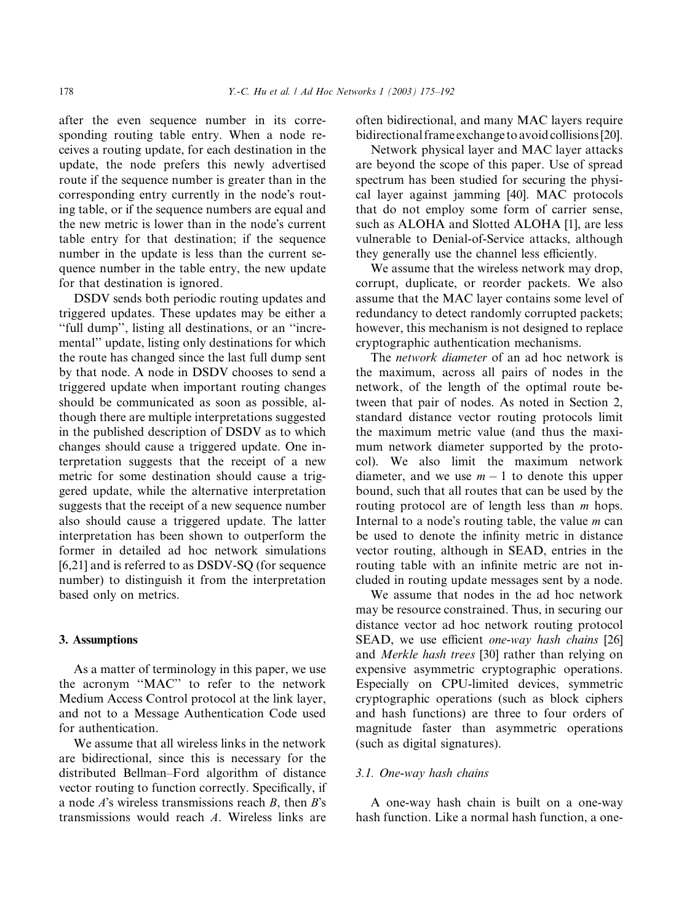after the even sequence number in its corresponding routing table entry. When a node receives a routing update, for each destination in the update, the node prefers this newly advertised route if the sequence number is greater than in the corresponding entry currently in the node's routing table, or if the sequence numbers are equal and the new metric is lower than in the node's current table entry for that destination; if the sequence number in the update is less than the current sequence number in the table entry, the new update for that destination is ignored.

DSDV sends both periodic routing updates and triggered updates. These updates may be either a ''full dump'', listing all destinations, or an ''incremental'' update, listing only destinations for which the route has changed since the last full dump sent by that node. A node in DSDV chooses to send a triggered update when important routing changes should be communicated as soon as possible, although there are multiple interpretations suggested in the published description of DSDV as to which changes should cause a triggered update. One interpretation suggests that the receipt of a new metric for some destination should cause a triggered update, while the alternative interpretation suggests that the receipt of a new sequence number also should cause a triggered update. The latter interpretation has been shown to outperform the former in detailed ad hoc network simulations [6,21] and is referred to as DSDV-SQ (for sequence number) to distinguish it from the interpretation based only on metrics.

## 3. Assumptions

As a matter of terminology in this paper, we use the acronym ''MAC'' to refer to the network Medium Access Control protocol at the link layer, and not to a Message Authentication Code used for authentication.

We assume that all wireless links in the network are bidirectional, since this is necessary for the distributed Bellman–Ford algorithm of distance vector routing to function correctly. Specifically, if a node  $A$ 's wireless transmissions reach B, then  $B$ 's transmissions would reach A. Wireless links are

often bidirectional, and many MAC layers require bidirectional frame exchange to avoid collisions [20].

Network physical layer and MAC layer attacks are beyond the scope of this paper. Use of spread spectrum has been studied for securing the physical layer against jamming [40]. MAC protocols that do not employ some form of carrier sense, such as ALOHA and Slotted ALOHA [1], are less vulnerable to Denial-of-Service attacks, although they generally use the channel less efficiently.

We assume that the wireless network may drop, corrupt, duplicate, or reorder packets. We also assume that the MAC layer contains some level of redundancy to detect randomly corrupted packets; however, this mechanism is not designed to replace cryptographic authentication mechanisms.

The *network diameter* of an ad hoc network is the maximum, across all pairs of nodes in the network, of the length of the optimal route between that pair of nodes. As noted in Section 2, standard distance vector routing protocols limit the maximum metric value (and thus the maximum network diameter supported by the protocol). We also limit the maximum network diameter, and we use  $m - 1$  to denote this upper bound, such that all routes that can be used by the routing protocol are of length less than *m* hops. Internal to a node's routing table, the value  $m$  can be used to denote the infinity metric in distance vector routing, although in SEAD, entries in the routing table with an infinite metric are not included in routing update messages sent by a node.

We assume that nodes in the ad hoc network may be resource constrained. Thus, in securing our distance vector ad hoc network routing protocol SEAD, we use efficient one-way hash chains [26] and Merkle hash trees [30] rather than relying on expensive asymmetric cryptographic operations. Especially on CPU-limited devices, symmetric cryptographic operations (such as block ciphers and hash functions) are three to four orders of magnitude faster than asymmetric operations (such as digital signatures).

#### 3.1. One-way hash chains

A one-way hash chain is built on a one-way hash function. Like a normal hash function, a one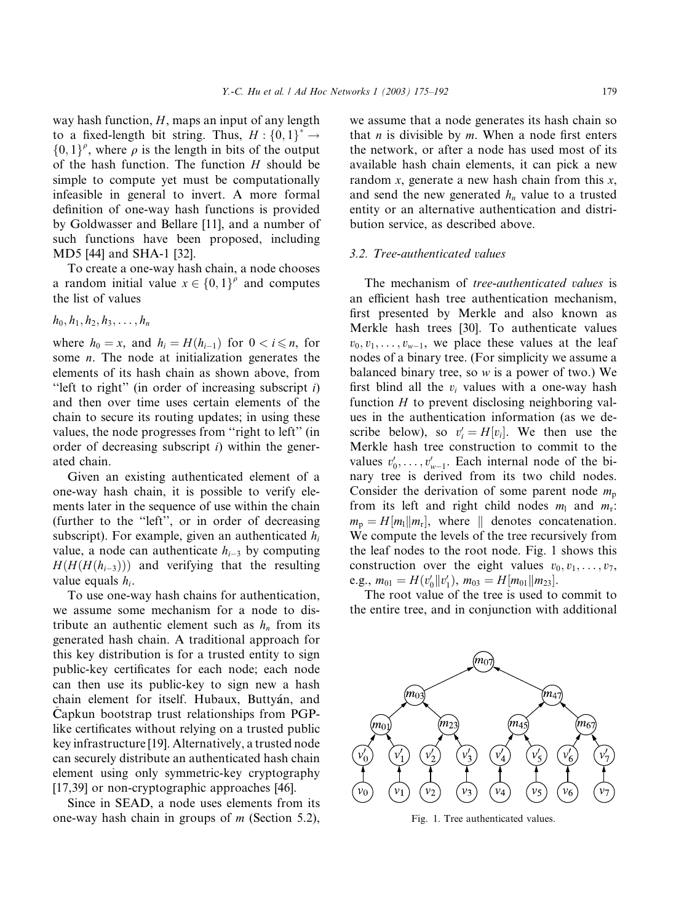way hash function,  $H$ , maps an input of any length to a fixed-length bit string. Thus,  $H: \{0,1\}^* \to$  $\{0,1\}^{\rho}$ , where  $\rho$  is the length in bits of the output of the hash function. The function  $H$  should be simple to compute yet must be computationally infeasible in general to invert. A more formal definition of one-way hash functions is provided by Goldwasser and Bellare [11], and a number of such functions have been proposed, including MD5 [44] and SHA-1 [32].

To create a one-way hash chain, a node chooses a random initial value  $x \in \{0, 1\}^{\rho}$  and computes the list of values

 $h_0, h_1, h_2, h_3, \ldots, h_n$ 

where  $h_0 = x$ , and  $h_i = H(h_{i-1})$  for  $0 < i \le n$ , for some  $n$ . The node at initialization generates the elements of its hash chain as shown above, from "left to right" (in order of increasing subscript  $i$ ) and then over time uses certain elements of the chain to secure its routing updates; in using these values, the node progresses from ''right to left'' (in order of decreasing subscript  $i$ ) within the generated chain.

Given an existing authenticated element of a one-way hash chain, it is possible to verify elements later in the sequence of use within the chain (further to the ''left'', or in order of decreasing subscript). For example, given an authenticated  $h_i$ value, a node can authenticate  $h_{i-3}$  by computing  $H(H(H(h_{i-3})))$  and verifying that the resulting value equals  $h_i$ .

To use one-way hash chains for authentication, we assume some mechanism for a node to distribute an authentic element such as  $h_n$  from its generated hash chain. A traditional approach for this key distribution is for a trusted entity to sign public-key certificates for each node; each node can then use its public-key to sign new a hash chain element for itself. Hubaux, Buttyán, and Capkun bootstrap trust relationships from PGP- like certificates without relying on a trusted public key infrastructure [19]. Alternatively, a trusted node can securely distribute an authenticated hash chain element using only symmetric-key cryptography [17,39] or non-cryptographic approaches [46].

Since in SEAD, a node uses elements from its one-way hash chain in groups of m (Section 5.2),

we assume that a node generates its hash chain so that *n* is divisible by *m*. When a node first enters the network, or after a node has used most of its available hash chain elements, it can pick a new random x, generate a new hash chain from this  $x$ , and send the new generated  $h_n$  value to a trusted entity or an alternative authentication and distribution service, as described above.

#### 3.2. Tree-authenticated values

The mechanism of tree-authenticated values is an efficient hash tree authentication mechanism, first presented by Merkle and also known as Merkle hash trees [30]. To authenticate values  $v_0, v_1, \ldots, v_{w-1}$ , we place these values at the leaf nodes of a binary tree. (For simplicity we assume a balanced binary tree, so  $w$  is a power of two.) We first blind all the  $v_i$  values with a one-way hash function  $H$  to prevent disclosing neighboring values in the authentication information (as we describe below), so  $v_i' = H[v_i]$ . We then use the Merkle hash tree construction to commit to the values  $v'_0, \ldots, v'_{w-1}$ . Each internal node of the binary tree is derived from its two child nodes. Consider the derivation of some parent node  $m_p$ from its left and right child nodes  $m_1$  and  $m_r$ :  $m_p = H[m_1||m_r]$ , where  $\parallel$  denotes concatenation. We compute the levels of the tree recursively from the leaf nodes to the root node. Fig. 1 shows this construction over the eight values  $v_0, v_1, \ldots, v_7$ , e.g.,  $m_{01} = H(v'_0||v'_1)$ ,  $m_{03} = H[m_{01}||m_{23}]$ .

The root value of the tree is used to commit to the entire tree, and in conjunction with additional



Fig. 1. Tree authenticated values.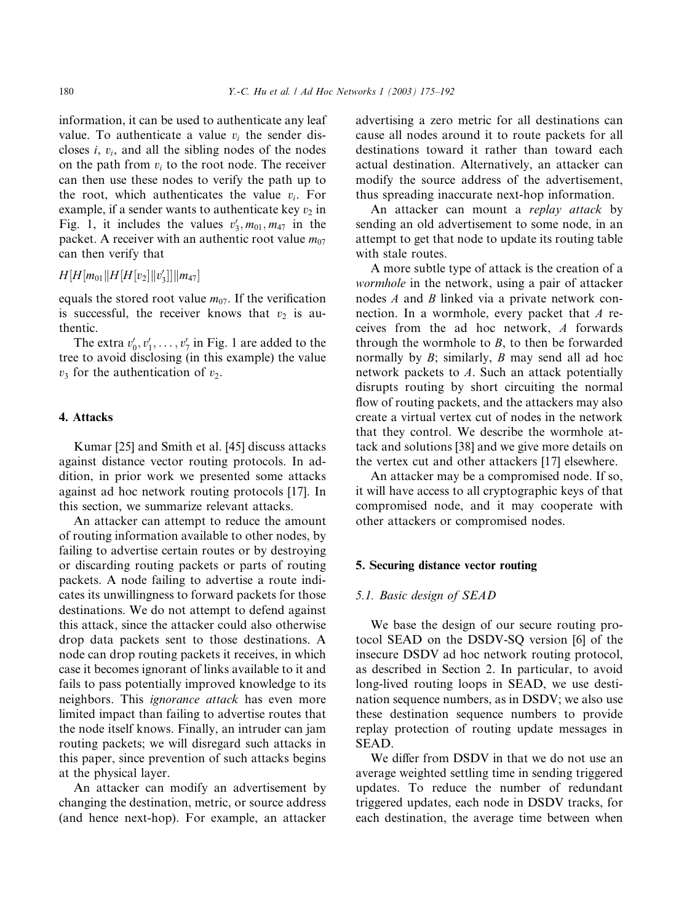information, it can be used to authenticate any leaf value. To authenticate a value  $v_i$  the sender discloses  $i$ ,  $v_i$ , and all the sibling nodes of the nodes on the path from  $v_i$  to the root node. The receiver can then use these nodes to verify the path up to the root, which authenticates the value  $v_i$ . For example, if a sender wants to authenticate key  $v_2$  in Fig. 1, it includes the values  $v'_3, m_{01}, m_{47}$  in the packet. A receiver with an authentic root value  $m_{07}$ can then verify that

$$
H[H[m_{01}||H[H[v_2]||v'_3]]||m_{47}]
$$

equals the stored root value  $m_{07}$ . If the verification is successful, the receiver knows that  $v_2$  is authentic.

The extra  $v'_0, v'_1, \ldots, v'_7$  in Fig. 1 are added to the tree to avoid disclosing (in this example) the value  $v_3$  for the authentication of  $v_2$ .

## 4. Attacks

Kumar [25] and Smith et al. [45] discuss attacks against distance vector routing protocols. In addition, in prior work we presented some attacks against ad hoc network routing protocols [17]. In this section, we summarize relevant attacks.

An attacker can attempt to reduce the amount of routing information available to other nodes, by failing to advertise certain routes or by destroying or discarding routing packets or parts of routing packets. A node failing to advertise a route indicates its unwillingness to forward packets for those destinations. We do not attempt to defend against this attack, since the attacker could also otherwise drop data packets sent to those destinations. A node can drop routing packets it receives, in which case it becomes ignorant of links available to it and fails to pass potentially improved knowledge to its neighbors. This ignorance attack has even more limited impact than failing to advertise routes that the node itself knows. Finally, an intruder can jam routing packets; we will disregard such attacks in this paper, since prevention of such attacks begins at the physical layer.

An attacker can modify an advertisement by changing the destination, metric, or source address (and hence next-hop). For example, an attacker advertising a zero metric for all destinations can cause all nodes around it to route packets for all destinations toward it rather than toward each actual destination. Alternatively, an attacker can modify the source address of the advertisement, thus spreading inaccurate next-hop information.

An attacker can mount a replay attack by sending an old advertisement to some node, in an attempt to get that node to update its routing table with stale routes.

A more subtle type of attack is the creation of a wormhole in the network, using a pair of attacker nodes A and B linked via a private network connection. In a wormhole, every packet that A receives from the ad hoc network, A forwards through the wormhole to  $B$ , to then be forwarded normally by *B*; similarly, *B* may send all ad hoc network packets to A. Such an attack potentially disrupts routing by short circuiting the normal flow of routing packets, and the attackers may also create a virtual vertex cut of nodes in the network that they control. We describe the wormhole attack and solutions [38] and we give more details on the vertex cut and other attackers [17] elsewhere.

An attacker may be a compromised node. If so, it will have access to all cryptographic keys of that compromised node, and it may cooperate with other attackers or compromised nodes.

## 5. Securing distance vector routing

#### 5.1. Basic design of SEAD

We base the design of our secure routing protocol SEAD on the DSDV-SQ version [6] of the insecure DSDV ad hoc network routing protocol, as described in Section 2. In particular, to avoid long-lived routing loops in SEAD, we use destination sequence numbers, as in DSDV; we also use these destination sequence numbers to provide replay protection of routing update messages in SEAD.

We differ from DSDV in that we do not use an average weighted settling time in sending triggered updates. To reduce the number of redundant triggered updates, each node in DSDV tracks, for each destination, the average time between when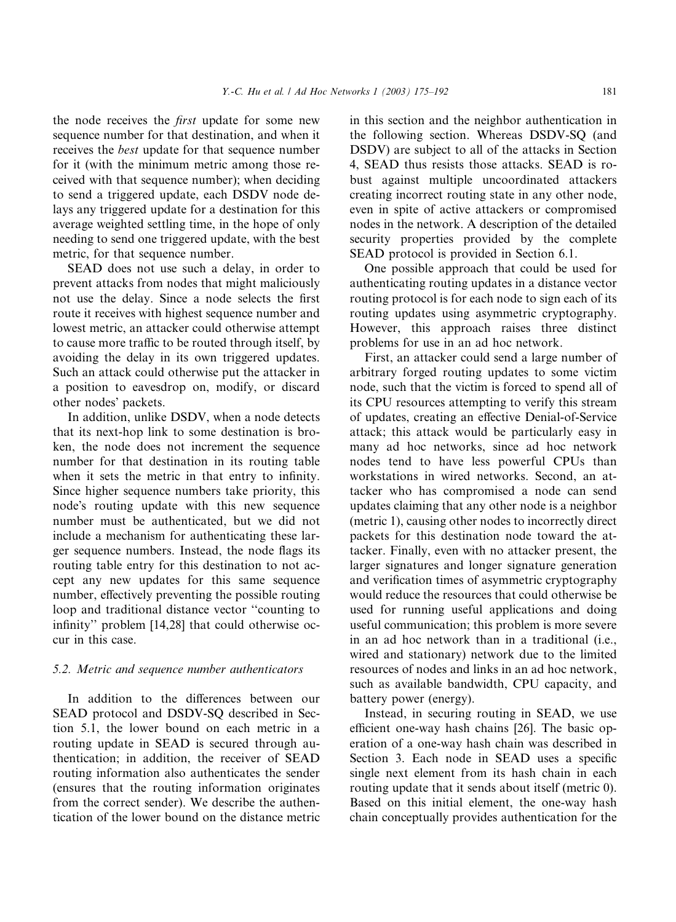the node receives the *first* update for some new sequence number for that destination, and when it receives the best update for that sequence number for it (with the minimum metric among those received with that sequence number); when deciding to send a triggered update, each DSDV node delays any triggered update for a destination for this average weighted settling time, in the hope of only needing to send one triggered update, with the best metric, for that sequence number.

SEAD does not use such a delay, in order to prevent attacks from nodes that might maliciously not use the delay. Since a node selects the first route it receives with highest sequence number and lowest metric, an attacker could otherwise attempt to cause more traffic to be routed through itself, by avoiding the delay in its own triggered updates. Such an attack could otherwise put the attacker in a position to eavesdrop on, modify, or discard other nodes' packets.

In addition, unlike DSDV, when a node detects that its next-hop link to some destination is broken, the node does not increment the sequence number for that destination in its routing table when it sets the metric in that entry to infinity. Since higher sequence numbers take priority, this node's routing update with this new sequence number must be authenticated, but we did not include a mechanism for authenticating these larger sequence numbers. Instead, the node flags its routing table entry for this destination to not accept any new updates for this same sequence number, effectively preventing the possible routing loop and traditional distance vector ''counting to infinity'' problem [14,28] that could otherwise occur in this case.

## 5.2. Metric and sequence number authenticators

In addition to the differences between our SEAD protocol and DSDV-SQ described in Section 5.1, the lower bound on each metric in a routing update in SEAD is secured through authentication; in addition, the receiver of SEAD routing information also authenticates the sender (ensures that the routing information originates from the correct sender). We describe the authentication of the lower bound on the distance metric in this section and the neighbor authentication in the following section. Whereas DSDV-SQ (and DSDV) are subject to all of the attacks in Section 4, SEAD thus resists those attacks. SEAD is robust against multiple uncoordinated attackers creating incorrect routing state in any other node, even in spite of active attackers or compromised nodes in the network. A description of the detailed security properties provided by the complete SEAD protocol is provided in Section 6.1.

One possible approach that could be used for authenticating routing updates in a distance vector routing protocol is for each node to sign each of its routing updates using asymmetric cryptography. However, this approach raises three distinct problems for use in an ad hoc network.

First, an attacker could send a large number of arbitrary forged routing updates to some victim node, such that the victim is forced to spend all of its CPU resources attempting to verify this stream of updates, creating an effective Denial-of-Service attack; this attack would be particularly easy in many ad hoc networks, since ad hoc network nodes tend to have less powerful CPUs than workstations in wired networks. Second, an attacker who has compromised a node can send updates claiming that any other node is a neighbor (metric 1), causing other nodes to incorrectly direct packets for this destination node toward the attacker. Finally, even with no attacker present, the larger signatures and longer signature generation and verification times of asymmetric cryptography would reduce the resources that could otherwise be used for running useful applications and doing useful communication; this problem is more severe in an ad hoc network than in a traditional (i.e., wired and stationary) network due to the limited resources of nodes and links in an ad hoc network, such as available bandwidth, CPU capacity, and battery power (energy).

Instead, in securing routing in SEAD, we use efficient one-way hash chains [26]. The basic operation of a one-way hash chain was described in Section 3. Each node in SEAD uses a specific single next element from its hash chain in each routing update that it sends about itself (metric 0). Based on this initial element, the one-way hash chain conceptually provides authentication for the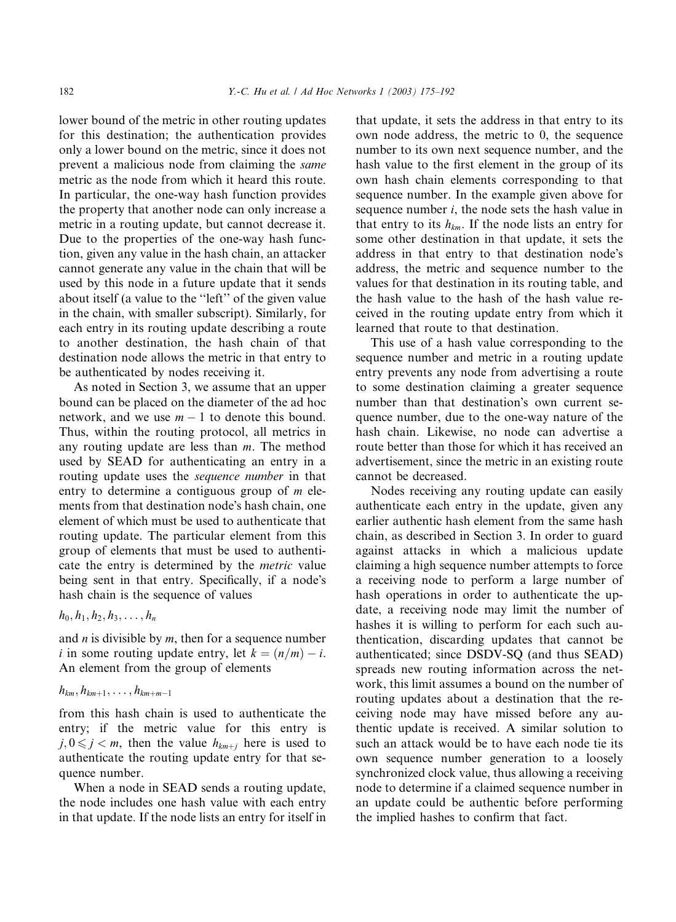lower bound of the metric in other routing updates for this destination; the authentication provides only a lower bound on the metric, since it does not prevent a malicious node from claiming the same metric as the node from which it heard this route. In particular, the one-way hash function provides the property that another node can only increase a metric in a routing update, but cannot decrease it. Due to the properties of the one-way hash function, given any value in the hash chain, an attacker cannot generate any value in the chain that will be used by this node in a future update that it sends about itself (a value to the ''left'' of the given value in the chain, with smaller subscript). Similarly, for each entry in its routing update describing a route to another destination, the hash chain of that destination node allows the metric in that entry to be authenticated by nodes receiving it.

As noted in Section 3, we assume that an upper bound can be placed on the diameter of the ad hoc network, and we use  $m - 1$  to denote this bound. Thus, within the routing protocol, all metrics in any routing update are less than  $m$ . The method used by SEAD for authenticating an entry in a routing update uses the sequence number in that entry to determine a contiguous group of m elements from that destination node's hash chain, one element of which must be used to authenticate that routing update. The particular element from this group of elements that must be used to authenticate the entry is determined by the metric value being sent in that entry. Specifically, if a node's hash chain is the sequence of values

 $h_0, h_1, h_2, h_3, \ldots, h_n$ 

and  $n$  is divisible by  $m$ , then for a sequence number i in some routing update entry, let  $k = (n/m) - i$ . An element from the group of elements

$$
h_{km}, h_{km+1}, \ldots, h_{km+m-1}
$$

from this hash chain is used to authenticate the entry; if the metric value for this entry is  $j, 0 \leq j < m$ , then the value  $h_{km+j}$  here is used to authenticate the routing update entry for that sequence number.

When a node in SEAD sends a routing update, the node includes one hash value with each entry in that update. If the node lists an entry for itself in that update, it sets the address in that entry to its own node address, the metric to 0, the sequence number to its own next sequence number, and the hash value to the first element in the group of its own hash chain elements corresponding to that sequence number. In the example given above for sequence number  $i$ , the node sets the hash value in that entry to its  $h_{km}$ . If the node lists an entry for some other destination in that update, it sets the address in that entry to that destination node's address, the metric and sequence number to the values for that destination in its routing table, and the hash value to the hash of the hash value received in the routing update entry from which it learned that route to that destination.

This use of a hash value corresponding to the sequence number and metric in a routing update entry prevents any node from advertising a route to some destination claiming a greater sequence number than that destination's own current sequence number, due to the one-way nature of the hash chain. Likewise, no node can advertise a route better than those for which it has received an advertisement, since the metric in an existing route cannot be decreased.

Nodes receiving any routing update can easily authenticate each entry in the update, given any earlier authentic hash element from the same hash chain, as described in Section 3. In order to guard against attacks in which a malicious update claiming a high sequence number attempts to force a receiving node to perform a large number of hash operations in order to authenticate the update, a receiving node may limit the number of hashes it is willing to perform for each such authentication, discarding updates that cannot be authenticated; since DSDV-SQ (and thus SEAD) spreads new routing information across the network, this limit assumes a bound on the number of routing updates about a destination that the receiving node may have missed before any authentic update is received. A similar solution to such an attack would be to have each node tie its own sequence number generation to a loosely synchronized clock value, thus allowing a receiving node to determine if a claimed sequence number in an update could be authentic before performing the implied hashes to confirm that fact.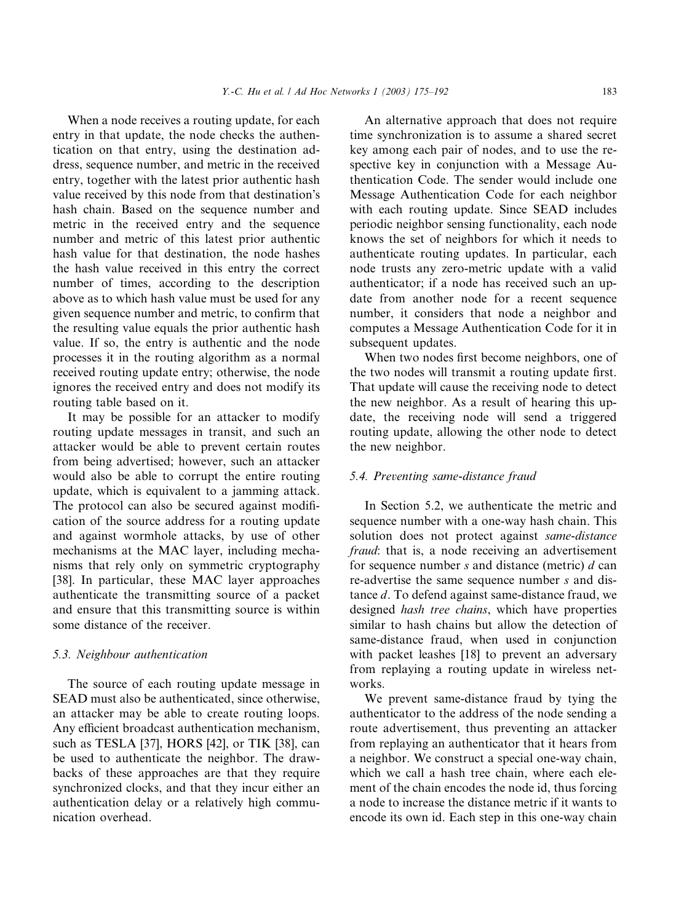Y.-C. Hu et al. / Ad Hoc Networks 1 (2003) 175–192 183

When a node receives a routing update, for each entry in that update, the node checks the authentication on that entry, using the destination address, sequence number, and metric in the received entry, together with the latest prior authentic hash value received by this node from that destination's hash chain. Based on the sequence number and metric in the received entry and the sequence number and metric of this latest prior authentic hash value for that destination, the node hashes the hash value received in this entry the correct number of times, according to the description above as to which hash value must be used for any given sequence number and metric, to confirm that the resulting value equals the prior authentic hash value. If so, the entry is authentic and the node processes it in the routing algorithm as a normal received routing update entry; otherwise, the node ignores the received entry and does not modify its routing table based on it.

It may be possible for an attacker to modify routing update messages in transit, and such an attacker would be able to prevent certain routes from being advertised; however, such an attacker would also be able to corrupt the entire routing update, which is equivalent to a jamming attack. The protocol can also be secured against modification of the source address for a routing update and against wormhole attacks, by use of other mechanisms at the MAC layer, including mechanisms that rely only on symmetric cryptography [38]. In particular, these MAC layer approaches authenticate the transmitting source of a packet and ensure that this transmitting source is within some distance of the receiver.

## 5.3. Neighbour authentication

The source of each routing update message in SEAD must also be authenticated, since otherwise, an attacker may be able to create routing loops. Any efficient broadcast authentication mechanism, such as TESLA [37], HORS [42], or TIK [38], can be used to authenticate the neighbor. The drawbacks of these approaches are that they require synchronized clocks, and that they incur either an authentication delay or a relatively high communication overhead.

An alternative approach that does not require time synchronization is to assume a shared secret key among each pair of nodes, and to use the respective key in conjunction with a Message Authentication Code. The sender would include one Message Authentication Code for each neighbor with each routing update. Since SEAD includes periodic neighbor sensing functionality, each node knows the set of neighbors for which it needs to authenticate routing updates. In particular, each node trusts any zero-metric update with a valid authenticator; if a node has received such an update from another node for a recent sequence number, it considers that node a neighbor and computes a Message Authentication Code for it in subsequent updates.

When two nodes first become neighbors, one of the two nodes will transmit a routing update first. That update will cause the receiving node to detect the new neighbor. As a result of hearing this update, the receiving node will send a triggered routing update, allowing the other node to detect the new neighbor.

#### 5.4. Preventing same-distance fraud

In Section 5.2, we authenticate the metric and sequence number with a one-way hash chain. This solution does not protect against same-distance fraud: that is, a node receiving an advertisement for sequence number s and distance (metric)  $d$  can re-advertise the same sequence number s and distance d. To defend against same-distance fraud, we designed hash tree chains, which have properties similar to hash chains but allow the detection of same-distance fraud, when used in conjunction with packet leashes [18] to prevent an adversary from replaying a routing update in wireless networks.

We prevent same-distance fraud by tying the authenticator to the address of the node sending a route advertisement, thus preventing an attacker from replaying an authenticator that it hears from a neighbor. We construct a special one-way chain, which we call a hash tree chain, where each element of the chain encodes the node id, thus forcing a node to increase the distance metric if it wants to encode its own id. Each step in this one-way chain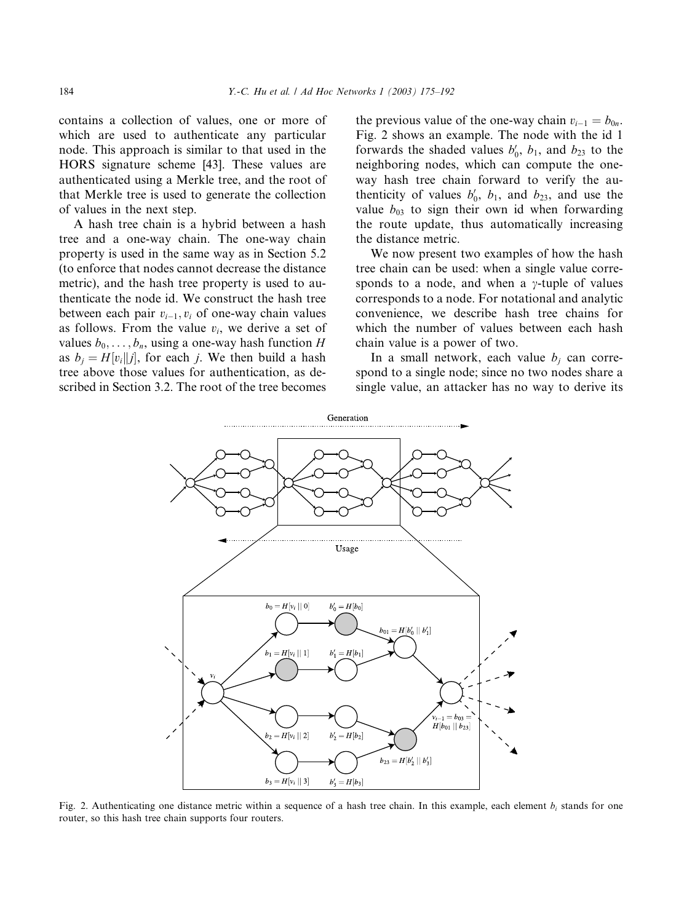contains a collection of values, one or more of which are used to authenticate any particular node. This approach is similar to that used in the HORS signature scheme [43]. These values are authenticated using a Merkle tree, and the root of that Merkle tree is used to generate the collection of values in the next step.

A hash tree chain is a hybrid between a hash tree and a one-way chain. The one-way chain property is used in the same way as in Section 5.2 (to enforce that nodes cannot decrease the distance metric), and the hash tree property is used to authenticate the node id. We construct the hash tree between each pair  $v_{i-1}, v_i$  of one-way chain values as follows. From the value  $v_i$ , we derive a set of values  $b_0, \ldots, b_n$ , using a one-way hash function H as  $b_i = H[v_i||j]$ , for each j. We then build a hash tree above those values for authentication, as described in Section 3.2. The root of the tree becomes the previous value of the one-way chain  $v_{i-1} = b_{0n}$ . Fig. 2 shows an example. The node with the id 1 forwards the shaded values  $b'_0$ ,  $b_1$ , and  $b_{23}$  to the neighboring nodes, which can compute the oneway hash tree chain forward to verify the authenticity of values  $b'_0$ ,  $b_1$ , and  $b_{23}$ , and use the value  $b_{03}$  to sign their own id when forwarding the route update, thus automatically increasing the distance metric.

We now present two examples of how the hash tree chain can be used: when a single value corresponds to a node, and when a  $\gamma$ -tuple of values corresponds to a node. For notational and analytic convenience, we describe hash tree chains for which the number of values between each hash chain value is a power of two.

In a small network, each value  $b_i$  can correspond to a single node; since no two nodes share a single value, an attacker has no way to derive its



Fig. 2. Authenticating one distance metric within a sequence of a hash tree chain. In this example, each element  $b_i$  stands for one router, so this hash tree chain supports four routers.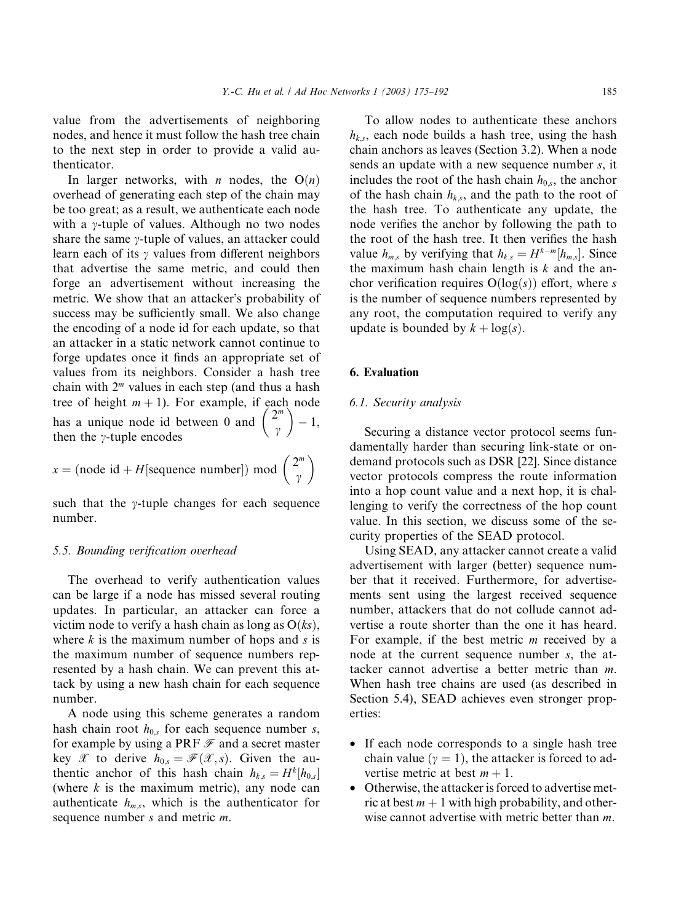value from the advertisements of neighboring nodes, and hence it must follow the hash tree chain to the next step in order to provide a valid authenticator.

In larger networks, with *n* nodes, the  $O(n)$ overhead of generating each step of the chain may be too great; as a result, we authenticate each node with a  $\gamma$ -tuple of values. Although no two nodes share the same  $\gamma$ -tuple of values, an attacker could learn each of its  $\gamma$  values from different neighbors that advertise the same metric, and could then forge an advertisement without increasing the metric. We show that an attacker's probability of success may be sufficiently small. We also change the encoding of a node id for each update, so that an attacker in a static network cannot continue to forge updates once it finds an appropriate set of values from its neighbors. Consider a hash tree chain with  $2<sup>m</sup>$  values in each step (and thus a hash tree of height  $m + 1$ ). For example, if each node has a unique node id between 0 and  $\begin{pmatrix} 2^m \\ \gamma \end{pmatrix}$ each node<br> $\binom{2^m}{n}$  – 1, then the  $\gamma$ -tuple encodes

$$
x = (\text{node id} + H[\text{sequence number}]) \text{ mod } \binom{2^m}{\gamma}
$$

such that the  $\gamma$ -tuple changes for each sequence number.

#### 5.5. Bounding verification overhead

The overhead to verify authentication values can be large if a node has missed several routing updates. In particular, an attacker can force a victim node to verify a hash chain as long as  $O(ks)$ , where  $k$  is the maximum number of hops and  $s$  is the maximum number of sequence numbers represented by a hash chain. We can prevent this attack by using a new hash chain for each sequence number.

A node using this scheme generates a random hash chain root  $h_{0,s}$  for each sequence number s, for example by using a PRF  $\mathcal F$  and a secret master key  $\mathscr X$  to derive  $h_{0,s} = \mathscr F(\mathscr X,s)$ . Given the authentic anchor of this hash chain  $h_{k,s} = H^k[h_{0,s}]$ (where  $k$  is the maximum metric), any node can authenticate  $h_{ms}$ , which is the authenticator for sequence number s and metric m.

To allow nodes to authenticate these anchors  $h_{ks}$ , each node builds a hash tree, using the hash chain anchors as leaves (Section 3.2). When a node sends an update with a new sequence number s, it includes the root of the hash chain  $h_{0,s}$ , the anchor of the hash chain  $h_{ks}$ , and the path to the root of the hash tree. To authenticate any update, the node verifies the anchor by following the path to the root of the hash tree. It then verifies the hash value  $h_{m,s}$  by verifying that  $h_{k,s} = H^{k-m}[h_{m,s}]$ . Since the maximum hash chain length is  $k$  and the anchor verification requires  $O(log(s))$  effort, where s is the number of sequence numbers represented by any root, the computation required to verify any update is bounded by  $k + \log(s)$ .

## 6. Evaluation

## 6.1. Security analysis

Securing a distance vector protocol seems fundamentally harder than securing link-state or ondemand protocols such as DSR [22]. Since distance vector protocols compress the route information into a hop count value and a next hop, it is challenging to verify the correctness of the hop count value. In this section, we discuss some of the security properties of the SEAD protocol.

Using SEAD, any attacker cannot create a valid advertisement with larger (better) sequence number that it received. Furthermore, for advertisements sent using the largest received sequence number, attackers that do not collude cannot advertise a route shorter than the one it has heard. For example, if the best metric m received by a node at the current sequence number s, the attacker cannot advertise a better metric than m. When hash tree chains are used (as described in Section 5.4), SEAD achieves even stronger properties:

- If each node corresponds to a single hash tree chain value  $(y = 1)$ , the attacker is forced to advertise metric at best  $m + 1$ .
- Otherwise, the attacker is forced to advertise metric at best  $m + 1$  with high probability, and otherwise cannot advertise with metric better than m.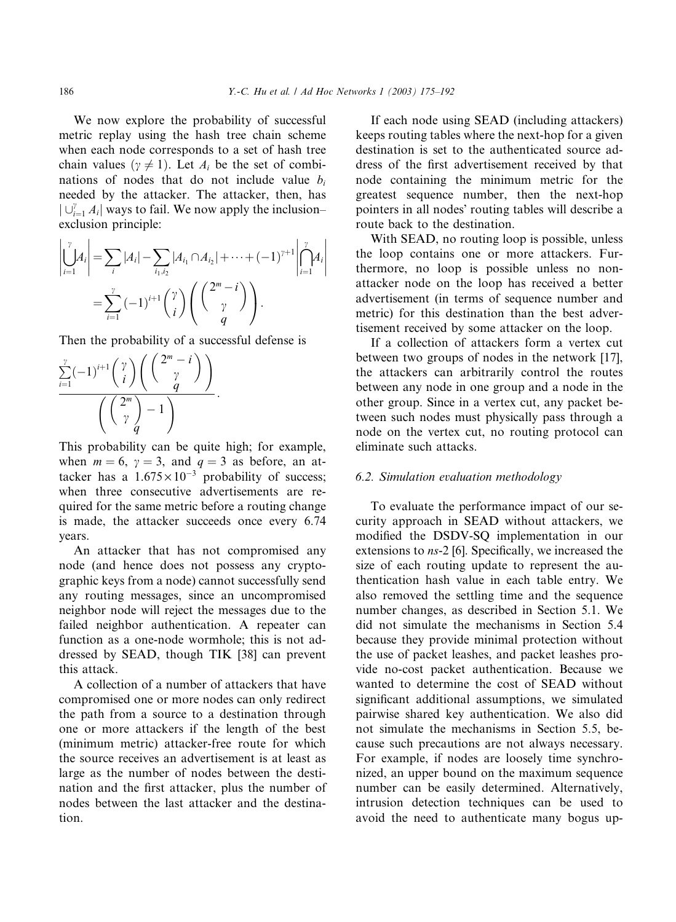We now explore the probability of successful metric replay using the hash tree chain scheme when each node corresponds to a set of hash tree chain values ( $\gamma \neq 1$ ). Let  $A_i$  be the set of combinations of nodes that do not include value  $b_i$ needed by the attacker. The attacker, then, has  $\bigcup_{i=1}^{n} A_i$  ways to fail. We now apply the inclusion– exclusion principle:

$$
\left| \bigcup_{i=1}^{\gamma} A_i \right| = \sum_i |A_i| - \sum_{i_1, i_2} |A_{i_1} \cap A_{i_2}| + \dots + (-1)^{\gamma+1} \left| \bigcap_{i=1}^{\gamma} A_i \right|
$$
  
= 
$$
\sum_{i=1}^{\gamma} (-1)^{i+1} {\gamma \choose i} {\gamma \choose \gamma}
$$

Then the probability of a successful defense is

$$
\frac{\sum\limits_{i=1}^{\gamma}(-1)^{i+1}\binom{\gamma}{i}\left(\binom{2^m-i}{\gamma}\right)}{\left(\binom{2^m}{\gamma}-1\right)}.
$$

This probability can be quite high; for example, when  $m = 6$ ,  $\gamma = 3$ , and  $q = 3$  as before, an attacker has a  $1.675 \times 10^{-3}$  probability of success; when three consecutive advertisements are required for the same metric before a routing change is made, the attacker succeeds once every 6.74 years.

An attacker that has not compromised any node (and hence does not possess any cryptographic keys from a node) cannot successfully send any routing messages, since an uncompromised neighbor node will reject the messages due to the failed neighbor authentication. A repeater can function as a one-node wormhole; this is not addressed by SEAD, though TIK [38] can prevent this attack.

A collection of a number of attackers that have compromised one or more nodes can only redirect the path from a source to a destination through one or more attackers if the length of the best (minimum metric) attacker-free route for which the source receives an advertisement is at least as large as the number of nodes between the destination and the first attacker, plus the number of nodes between the last attacker and the destination.

If each node using SEAD (including attackers) keeps routing tables where the next-hop for a given destination is set to the authenticated source address of the first advertisement received by that node containing the minimum metric for the greatest sequence number, then the next-hop pointers in all nodes' routing tables will describe a route back to the destination.

With SEAD, no routing loop is possible, unless the loop contains one or more attackers. Furthermore, no loop is possible unless no nonattacker node on the loop has received a better advertisement (in terms of sequence number and metric) for this destination than the best advertisement received by some attacker on the loop.

If a collection of attackers form a vertex cut between two groups of nodes in the network [17], the attackers can arbitrarily control the routes between any node in one group and a node in the other group. Since in a vertex cut, any packet between such nodes must physically pass through a node on the vertex cut, no routing protocol can eliminate such attacks.

## 6.2. Simulation evaluation methodology

To evaluate the performance impact of our security approach in SEAD without attackers, we modified the DSDV-SQ implementation in our extensions to ns-2 [6]. Specifically, we increased the size of each routing update to represent the authentication hash value in each table entry. We also removed the settling time and the sequence number changes, as described in Section 5.1. We did not simulate the mechanisms in Section 5.4 because they provide minimal protection without the use of packet leashes, and packet leashes provide no-cost packet authentication. Because we wanted to determine the cost of SEAD without significant additional assumptions, we simulated pairwise shared key authentication. We also did not simulate the mechanisms in Section 5.5, because such precautions are not always necessary. For example, if nodes are loosely time synchronized, an upper bound on the maximum sequence number can be easily determined. Alternatively, intrusion detection techniques can be used to avoid the need to authenticate many bogus up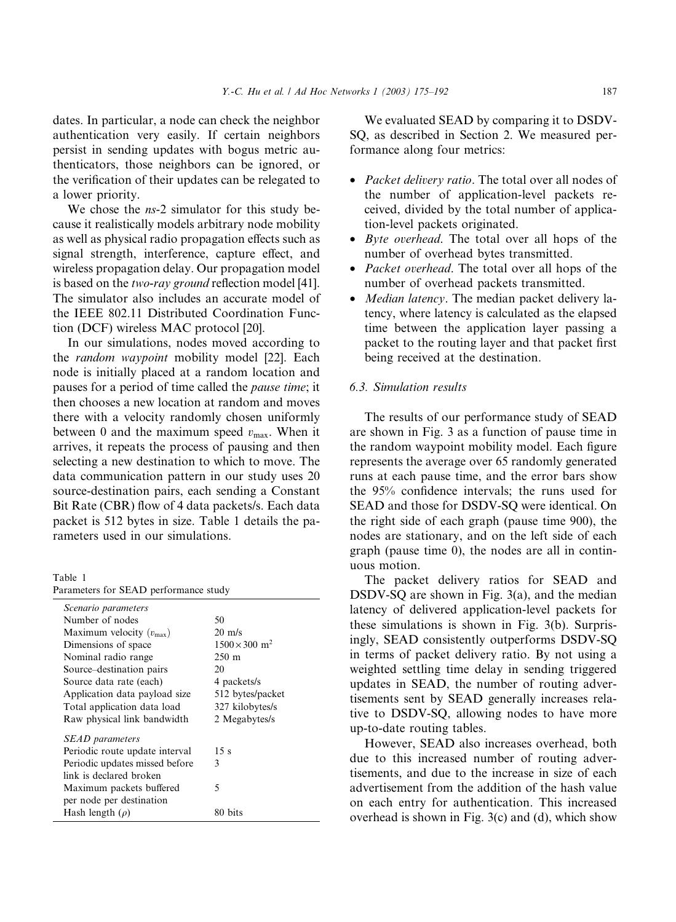dates. In particular, a node can check the neighbor authentication very easily. If certain neighbors persist in sending updates with bogus metric authenticators, those neighbors can be ignored, or the verification of their updates can be relegated to a lower priority.

We chose the *ns*-2 simulator for this study because it realistically models arbitrary node mobility as well as physical radio propagation effects such as signal strength, interference, capture effect, and wireless propagation delay. Our propagation model is based on the two-ray ground reflection model [41]. The simulator also includes an accurate model of the IEEE 802.11 Distributed Coordination Function (DCF) wireless MAC protocol [20].

In our simulations, nodes moved according to the random waypoint mobility model [22]. Each node is initially placed at a random location and pauses for a period of time called the pause time; it then chooses a new location at random and moves there with a velocity randomly chosen uniformly between 0 and the maximum speed  $v_{\text{max}}$ . When it arrives, it repeats the process of pausing and then selecting a new destination to which to move. The data communication pattern in our study uses 20 source-destination pairs, each sending a Constant Bit Rate (CBR) flow of 4 data packets/s. Each data packet is 512 bytes in size. Table 1 details the parameters used in our simulations.

Table 1

|  |  |  | Parameters for SEAD performance study |  |
|--|--|--|---------------------------------------|--|
|--|--|--|---------------------------------------|--|

| Scenario parameters                 |                                  |  |  |
|-------------------------------------|----------------------------------|--|--|
| Number of nodes                     | 50                               |  |  |
|                                     |                                  |  |  |
| Maximum velocity $(v_{\text{max}})$ | $20 \text{ m/s}$                 |  |  |
| Dimensions of space                 | $1500 \times 300$ m <sup>2</sup> |  |  |
| Nominal radio range                 | $250 \text{ m}$                  |  |  |
| Source–destination pairs            | 20                               |  |  |
| Source data rate (each)             | 4 packets/s                      |  |  |
| Application data payload size       | 512 bytes/packet                 |  |  |
| Total application data load         | 327 kilobytes/s                  |  |  |
| Raw physical link bandwidth         | 2 Megabytes/s                    |  |  |
| <b>SEAD</b> parameters              |                                  |  |  |
| Periodic route update interval      | 15 <sub>s</sub>                  |  |  |
| Periodic updates missed before      | 3                                |  |  |
| link is declared broken             |                                  |  |  |
| Maximum packets buffered            | 5                                |  |  |
| per node per destination            |                                  |  |  |
| Hash length $(\rho)$                | 80 bits                          |  |  |

We evaluated SEAD by comparing it to DSDV-SQ, as described in Section 2. We measured performance along four metrics:

- *Packet delivery ratio*. The total over all nodes of the number of application-level packets received, divided by the total number of application-level packets originated.
- *Byte overhead*. The total over all hops of the number of overhead bytes transmitted.
- Packet overhead. The total over all hops of the number of overhead packets transmitted.
- Median latency. The median packet delivery latency, where latency is calculated as the elapsed time between the application layer passing a packet to the routing layer and that packet first being received at the destination.

### 6.3. Simulation results

The results of our performance study of SEAD are shown in Fig. 3 as a function of pause time in the random waypoint mobility model. Each figure represents the average over 65 randomly generated runs at each pause time, and the error bars show the 95% confidence intervals; the runs used for SEAD and those for DSDV-SQ were identical. On the right side of each graph (pause time 900), the nodes are stationary, and on the left side of each graph (pause time 0), the nodes are all in continuous motion.

The packet delivery ratios for SEAD and DSDV-SQ are shown in Fig. 3(a), and the median latency of delivered application-level packets for these simulations is shown in Fig. 3(b). Surprisingly, SEAD consistently outperforms DSDV-SQ in terms of packet delivery ratio. By not using a weighted settling time delay in sending triggered updates in SEAD, the number of routing advertisements sent by SEAD generally increases relative to DSDV-SQ, allowing nodes to have more up-to-date routing tables.

However, SEAD also increases overhead, both due to this increased number of routing advertisements, and due to the increase in size of each advertisement from the addition of the hash value on each entry for authentication. This increased overhead is shown in Fig. 3(c) and (d), which show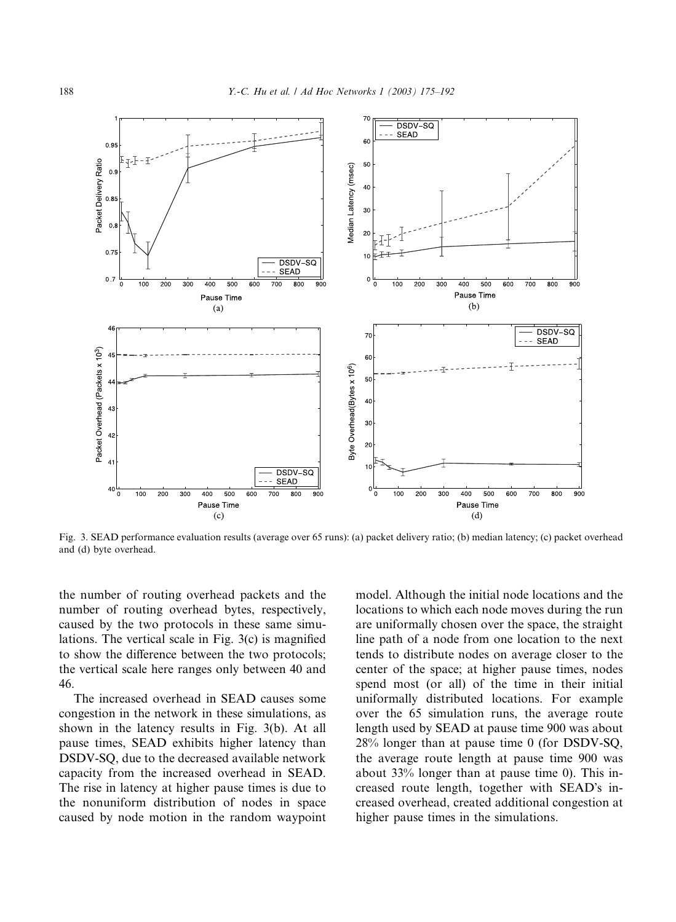

Fig. 3. SEAD performance evaluation results (average over 65 runs): (a) packet delivery ratio; (b) median latency; (c) packet overhead and (d) byte overhead.

the number of routing overhead packets and the number of routing overhead bytes, respectively, caused by the two protocols in these same simulations. The vertical scale in Fig. 3(c) is magnified to show the difference between the two protocols; the vertical scale here ranges only between 40 and 46.

The increased overhead in SEAD causes some congestion in the network in these simulations, as shown in the latency results in Fig. 3(b). At all pause times, SEAD exhibits higher latency than DSDV-SQ, due to the decreased available network capacity from the increased overhead in SEAD. The rise in latency at higher pause times is due to the nonuniform distribution of nodes in space caused by node motion in the random waypoint model. Although the initial node locations and the locations to which each node moves during the run are uniformally chosen over the space, the straight line path of a node from one location to the next tends to distribute nodes on average closer to the center of the space; at higher pause times, nodes spend most (or all) of the time in their initial uniformally distributed locations. For example over the 65 simulation runs, the average route length used by SEAD at pause time 900 was about 28% longer than at pause time 0 (for DSDV-SQ, the average route length at pause time 900 was about 33% longer than at pause time 0). This increased route length, together with SEAD's increased overhead, created additional congestion at higher pause times in the simulations.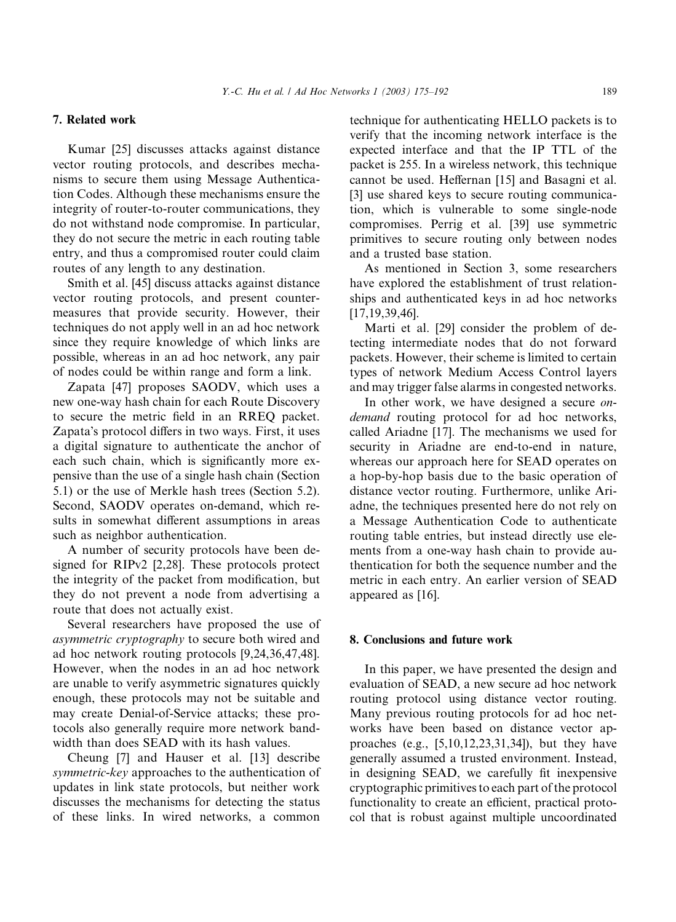## 7. Related work

Kumar [25] discusses attacks against distance vector routing protocols, and describes mechanisms to secure them using Message Authentication Codes. Although these mechanisms ensure the integrity of router-to-router communications, they do not withstand node compromise. In particular, they do not secure the metric in each routing table entry, and thus a compromised router could claim routes of any length to any destination.

Smith et al. [45] discuss attacks against distance vector routing protocols, and present countermeasures that provide security. However, their techniques do not apply well in an ad hoc network since they require knowledge of which links are possible, whereas in an ad hoc network, any pair of nodes could be within range and form a link.

Zapata [47] proposes SAODV, which uses a new one-way hash chain for each Route Discovery to secure the metric field in an RREQ packet. Zapata's protocol differs in two ways. First, it uses a digital signature to authenticate the anchor of each such chain, which is significantly more expensive than the use of a single hash chain (Section 5.1) or the use of Merkle hash trees (Section 5.2). Second, SAODV operates on-demand, which results in somewhat different assumptions in areas such as neighbor authentication.

A number of security protocols have been designed for RIPv2 [2,28]. These protocols protect the integrity of the packet from modification, but they do not prevent a node from advertising a route that does not actually exist.

Several researchers have proposed the use of asymmetric cryptography to secure both wired and ad hoc network routing protocols [9,24,36,47,48]. However, when the nodes in an ad hoc network are unable to verify asymmetric signatures quickly enough, these protocols may not be suitable and may create Denial-of-Service attacks; these protocols also generally require more network bandwidth than does SEAD with its hash values.

Cheung [7] and Hauser et al. [13] describe symmetric-key approaches to the authentication of updates in link state protocols, but neither work discusses the mechanisms for detecting the status of these links. In wired networks, a common

technique for authenticating HELLO packets is to verify that the incoming network interface is the expected interface and that the IP TTL of the packet is 255. In a wireless network, this technique cannot be used. Heffernan [15] and Basagni et al. [3] use shared keys to secure routing communication, which is vulnerable to some single-node compromises. Perrig et al. [39] use symmetric primitives to secure routing only between nodes and a trusted base station.

As mentioned in Section 3, some researchers have explored the establishment of trust relationships and authenticated keys in ad hoc networks [17,19,39,46].

Marti et al. [29] consider the problem of detecting intermediate nodes that do not forward packets. However, their scheme is limited to certain types of network Medium Access Control layers and may trigger false alarms in congested networks.

In other work, we have designed a secure *on*demand routing protocol for ad hoc networks, called Ariadne [17]. The mechanisms we used for security in Ariadne are end-to-end in nature, whereas our approach here for SEAD operates on a hop-by-hop basis due to the basic operation of distance vector routing. Furthermore, unlike Ariadne, the techniques presented here do not rely on a Message Authentication Code to authenticate routing table entries, but instead directly use elements from a one-way hash chain to provide authentication for both the sequence number and the metric in each entry. An earlier version of SEAD appeared as [16].

#### 8. Conclusions and future work

In this paper, we have presented the design and evaluation of SEAD, a new secure ad hoc network routing protocol using distance vector routing. Many previous routing protocols for ad hoc networks have been based on distance vector approaches (e.g., [5,10,12,23,31,34]), but they have generally assumed a trusted environment. Instead, in designing SEAD, we carefully fit inexpensive cryptographic primitives to each part of the protocol functionality to create an efficient, practical protocol that is robust against multiple uncoordinated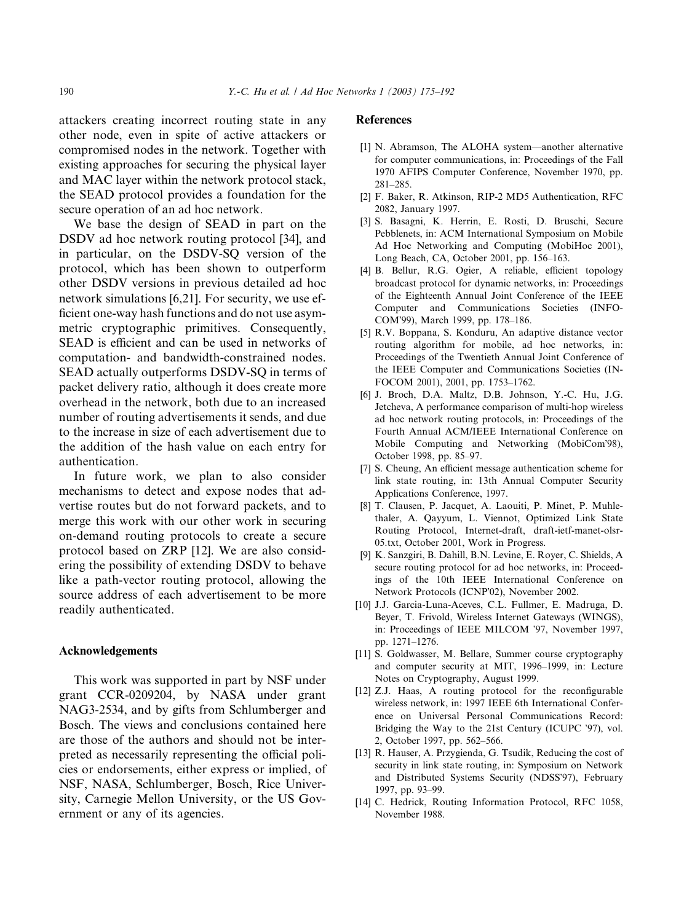attackers creating incorrect routing state in any other node, even in spite of active attackers or compromised nodes in the network. Together with existing approaches for securing the physical layer and MAC layer within the network protocol stack, the SEAD protocol provides a foundation for the secure operation of an ad hoc network.

We base the design of SEAD in part on the DSDV ad hoc network routing protocol [34], and in particular, on the DSDV-SQ version of the protocol, which has been shown to outperform other DSDV versions in previous detailed ad hoc network simulations [6,21]. For security, we use efficient one-way hash functions and do not use asymmetric cryptographic primitives. Consequently, SEAD is efficient and can be used in networks of computation- and bandwidth-constrained nodes. SEAD actually outperforms DSDV-SQ in terms of packet delivery ratio, although it does create more overhead in the network, both due to an increased number of routing advertisements it sends, and due to the increase in size of each advertisement due to the addition of the hash value on each entry for authentication.

In future work, we plan to also consider mechanisms to detect and expose nodes that advertise routes but do not forward packets, and to merge this work with our other work in securing on-demand routing protocols to create a secure protocol based on ZRP [12]. We are also considering the possibility of extending DSDV to behave like a path-vector routing protocol, allowing the source address of each advertisement to be more readily authenticated.

#### Acknowledgements

This work was supported in part by NSF under grant CCR-0209204, by NASA under grant NAG3-2534, and by gifts from Schlumberger and Bosch. The views and conclusions contained here are those of the authors and should not be interpreted as necessarily representing the official policies or endorsements, either express or implied, of NSF, NASA, Schlumberger, Bosch, Rice University, Carnegie Mellon University, or the US Government or any of its agencies.

### References

- [1] N. Abramson, The ALOHA system—another alternative for computer communications, in: Proceedings of the Fall 1970 AFIPS Computer Conference, November 1970, pp. 281–285.
- [2] F. Baker, R. Atkinson, RIP-2 MD5 Authentication, RFC 2082, January 1997.
- [3] S. Basagni, K. Herrin, E. Rosti, D. Bruschi, Secure Pebblenets, in: ACM International Symposium on Mobile Ad Hoc Networking and Computing (MobiHoc 2001), Long Beach, CA, October 2001, pp. 156–163.
- [4] B. Bellur, R.G. Ogier, A reliable, efficient topology broadcast protocol for dynamic networks, in: Proceedings of the Eighteenth Annual Joint Conference of the IEEE Computer and Communications Societies (INFO-COM99), March 1999, pp. 178–186.
- [5] R.V. Boppana, S. Konduru, An adaptive distance vector routing algorithm for mobile, ad hoc networks, in: Proceedings of the Twentieth Annual Joint Conference of the IEEE Computer and Communications Societies (IN-FOCOM 2001), 2001, pp. 1753–1762.
- [6] J. Broch, D.A. Maltz, D.B. Johnson, Y.-C. Hu, J.G. Jetcheva, A performance comparison of multi-hop wireless ad hoc network routing protocols, in: Proceedings of the Fourth Annual ACM/IEEE International Conference on Mobile Computing and Networking (MobiCom98), October 1998, pp. 85–97.
- [7] S. Cheung, An efficient message authentication scheme for link state routing, in: 13th Annual Computer Security Applications Conference, 1997.
- [8] T. Clausen, P. Jacquet, A. Laouiti, P. Minet, P. Muhlethaler, A. Qayyum, L. Viennot, Optimized Link State Routing Protocol, Internet-draft, draft-ietf-manet-olsr-05.txt, October 2001, Work in Progress.
- [9] K. Sanzgiri, B. Dahill, B.N. Levine, E. Royer, C. Shields, A secure routing protocol for ad hoc networks, in: Proceedings of the 10th IEEE International Conference on Network Protocols (ICNP02), November 2002.
- [10] J.J. Garcia-Luna-Aceves, C.L. Fullmer, E. Madruga, D. Beyer, T. Frivold, Wireless Internet Gateways (WINGS), in: Proceedings of IEEE MILCOM 97, November 1997, pp. 1271–1276.
- [11] S. Goldwasser, M. Bellare, Summer course cryptography and computer security at MIT, 1996–1999, in: Lecture Notes on Cryptography, August 1999.
- [12] Z.J. Haas, A routing protocol for the reconfigurable wireless network, in: 1997 IEEE 6th International Conference on Universal Personal Communications Record: Bridging the Way to the 21st Century (ICUPC '97), vol. 2, October 1997, pp. 562–566.
- [13] R. Hauser, A. Przygienda, G. Tsudik, Reducing the cost of security in link state routing, in: Symposium on Network and Distributed Systems Security (NDSS'97), February 1997, pp. 93–99.
- [14] C. Hedrick, Routing Information Protocol, RFC 1058, November 1988.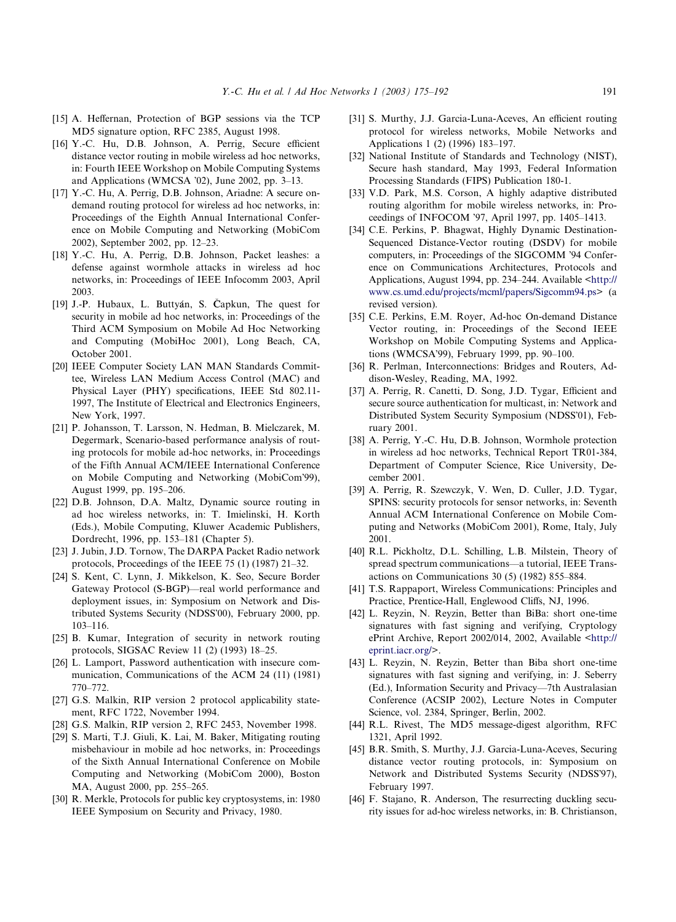- [15] A. Heffernan, Protection of BGP sessions via the TCP MD5 signature option, RFC 2385, August 1998.
- [16] Y.-C. Hu, D.B. Johnson, A. Perrig, Secure efficient distance vector routing in mobile wireless ad hoc networks, in: Fourth IEEE Workshop on Mobile Computing Systems and Applications (WMCSA  $02$ ), June 2002, pp. 3–13.
- [17] Y.-C. Hu, A. Perrig, D.B. Johnson, Ariadne: A secure ondemand routing protocol for wireless ad hoc networks, in: Proceedings of the Eighth Annual International Conference on Mobile Computing and Networking (MobiCom 2002), September 2002, pp. 12–23.
- [18] Y.-C. Hu, A. Perrig, D.B. Johnson, Packet leashes: a defense against wormhole attacks in wireless ad hoc networks, in: Proceedings of IEEE Infocomm 2003, April 2003.
- [19] J.-P. Hubaux, L. Buttyán, S. Čapkun, The quest for security in mobile ad hoc networks, in: Proceedings of the Third ACM Symposium on Mobile Ad Hoc Networking and Computing (MobiHoc 2001), Long Beach, CA, October 2001.
- [20] IEEE Computer Society LAN MAN Standards Committee, Wireless LAN Medium Access Control (MAC) and Physical Layer (PHY) specifications, IEEE Std 802.11- 1997, The Institute of Electrical and Electronics Engineers, New York, 1997.
- [21] P. Johansson, T. Larsson, N. Hedman, B. Mielczarek, M. Degermark, Scenario-based performance analysis of routing protocols for mobile ad-hoc networks, in: Proceedings of the Fifth Annual ACM/IEEE International Conference on Mobile Computing and Networking (MobiCom'99), August 1999, pp. 195–206.
- [22] D.B. Johnson, D.A. Maltz, Dynamic source routing in ad hoc wireless networks, in: T. Imielinski, H. Korth (Eds.), Mobile Computing, Kluwer Academic Publishers, Dordrecht, 1996, pp. 153–181 (Chapter 5).
- [23] J. Jubin, J.D. Tornow, The DARPA Packet Radio network protocols, Proceedings of the IEEE 75 (1) (1987) 21–32.
- [24] S. Kent, C. Lynn, J. Mikkelson, K. Seo, Secure Border Gateway Protocol (S-BGP)––real world performance and deployment issues, in: Symposium on Network and Distributed Systems Security (NDSS'00), February 2000, pp. 103–116.
- [25] B. Kumar, Integration of security in network routing protocols, SIGSAC Review 11 (2) (1993) 18–25.
- [26] L. Lamport, Password authentication with insecure communication, Communications of the ACM 24 (11) (1981) 770–772.
- [27] G.S. Malkin, RIP version 2 protocol applicability statement, RFC 1722, November 1994.
- [28] G.S. Malkin, RIP version 2, RFC 2453, November 1998.
- [29] S. Marti, T.J. Giuli, K. Lai, M. Baker, Mitigating routing misbehaviour in mobile ad hoc networks, in: Proceedings of the Sixth Annual International Conference on Mobile Computing and Networking (MobiCom 2000), Boston MA, August 2000, pp. 255–265.
- [30] R. Merkle, Protocols for public key cryptosystems, in: 1980 IEEE Symposium on Security and Privacy, 1980.
- [31] S. Murthy, J.J. Garcia-Luna-Aceves, An efficient routing protocol for wireless networks, Mobile Networks and Applications 1 (2) (1996) 183–197.
- [32] National Institute of Standards and Technology (NIST), Secure hash standard, May 1993, Federal Information Processing Standards (FIPS) Publication 180-1.
- [33] V.D. Park, M.S. Corson, A highly adaptive distributed routing algorithm for mobile wireless networks, in: Proceedings of INFOCOM 97, April 1997, pp. 1405–1413.
- [34] C.E. Perkins, P. Bhagwat, Highly Dynamic Destination-Sequenced Distance-Vector routing (DSDV) for mobile computers, in: Proceedings of the SIGCOMM '94 Conference on Communications Architectures, Protocols and Applications, August 1994, pp. 234–244. Available [<http://](http://www.cs.umd.edu/projects/mcml/papers/Sigcomm94.ps) [www.cs.umd.edu/projects/mcml/papers/Sigcomm94.ps](http://www.cs.umd.edu/projects/mcml/papers/Sigcomm94.ps)> (a revised version).
- [35] C.E. Perkins, E.M. Royer, Ad-hoc On-demand Distance Vector routing, in: Proceedings of the Second IEEE Workshop on Mobile Computing Systems and Applications (WMCSA99), February 1999, pp. 90–100.
- [36] R. Perlman, Interconnections: Bridges and Routers, Addison-Wesley, Reading, MA, 1992.
- [37] A. Perrig, R. Canetti, D. Song, J.D. Tygar, Efficient and secure source authentication for multicast, in: Network and Distributed System Security Symposium (NDSS'01), February 2001.
- [38] A. Perrig, Y.-C. Hu, D.B. Johnson, Wormhole protection in wireless ad hoc networks, Technical Report TR01-384, Department of Computer Science, Rice University, December 2001.
- [39] A. Perrig, R. Szewczyk, V. Wen, D. Culler, J.D. Tygar, SPINS: security protocols for sensor networks, in: Seventh Annual ACM International Conference on Mobile Computing and Networks (MobiCom 2001), Rome, Italy, July 2001.
- [40] R.L. Pickholtz, D.L. Schilling, L.B. Milstein, Theory of spread spectrum communications––a tutorial, IEEE Transactions on Communications 30 (5) (1982) 855–884.
- [41] T.S. Rappaport, Wireless Communications: Principles and Practice, Prentice-Hall, Englewood Cliffs, NJ, 1996.
- [42] L. Reyzin, N. Reyzin, Better than BiBa: short one-time signatures with fast signing and verifying, Cryptology ePrint Archive, Report 2002/014, 2002, Available [<http://](http://eprint.iacr.org/) [eprint.iacr.org/>](http://eprint.iacr.org/).
- [43] L. Reyzin, N. Reyzin, Better than Biba short one-time signatures with fast signing and verifying, in: J. Seberry (Ed.), Information Security and Privacy––7th Australasian Conference (ACSIP 2002), Lecture Notes in Computer Science, vol. 2384, Springer, Berlin, 2002.
- [44] R.L. Rivest, The MD5 message-digest algorithm, RFC 1321, April 1992.
- [45] B.R. Smith, S. Murthy, J.J. Garcia-Luna-Aceves, Securing distance vector routing protocols, in: Symposium on Network and Distributed Systems Security (NDSS'97), February 1997.
- [46] F. Stajano, R. Anderson, The resurrecting duckling security issues for ad-hoc wireless networks, in: B. Christianson,